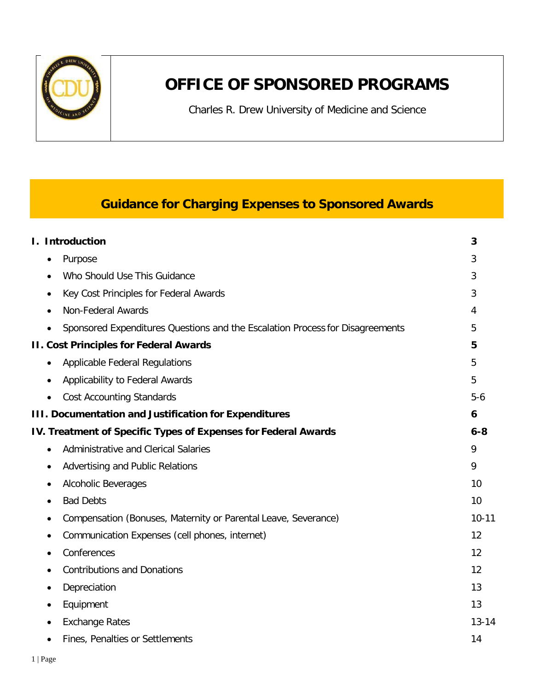

# **OFFICE OF SPONSORED PROGRAMS**

Charles R. Drew University of Medicine and Science

## **Guidance for Charging Expenses to Sponsored Awards**

|           | I. Introduction                                                               | 3         |
|-----------|-------------------------------------------------------------------------------|-----------|
|           | Purpose                                                                       | 3         |
|           | Who Should Use This Guidance                                                  | 3         |
|           | Key Cost Principles for Federal Awards                                        | 3         |
|           | Non-Federal Awards                                                            | 4         |
|           | Sponsored Expenditures Questions and the Escalation Process for Disagreements | 5         |
|           | <b>II. Cost Principles for Federal Awards</b>                                 | 5         |
| ٠         | <b>Applicable Federal Regulations</b>                                         | 5         |
|           | Applicability to Federal Awards                                               | 5         |
|           | <b>Cost Accounting Standards</b>                                              | $5-6$     |
|           | <b>III. Documentation and Justification for Expenditures</b>                  | 6         |
|           | IV. Treatment of Specific Types of Expenses for Federal Awards                | $6 - 8$   |
| $\bullet$ | Administrative and Clerical Salaries                                          | 9         |
|           | Advertising and Public Relations                                              | 9         |
|           | Alcoholic Beverages                                                           | 10        |
|           | <b>Bad Debts</b>                                                              | 10        |
|           | Compensation (Bonuses, Maternity or Parental Leave, Severance)                | $10 - 11$ |
|           | Communication Expenses (cell phones, internet)                                | 12        |
|           | Conferences                                                                   | 12        |
|           | <b>Contributions and Donations</b>                                            | 12        |
|           | Depreciation                                                                  | 13        |
|           | Equipment                                                                     | 13        |
|           | <b>Exchange Rates</b>                                                         | $13 - 14$ |
|           | Fines, Penalties or Settlements                                               | 14        |
|           |                                                                               |           |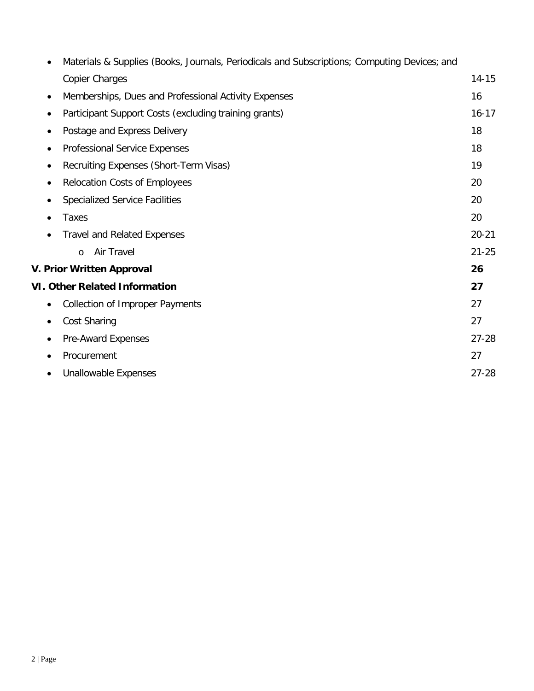| $\bullet$ | Materials & Supplies (Books, Journals, Periodicals and Subscriptions; Computing Devices; and |           |
|-----------|----------------------------------------------------------------------------------------------|-----------|
|           | <b>Copier Charges</b>                                                                        | $14 - 15$ |
| $\bullet$ | Memberships, Dues and Professional Activity Expenses                                         | 16        |
| $\bullet$ | Participant Support Costs (excluding training grants)                                        | $16 - 17$ |
| ٠         | Postage and Express Delivery                                                                 | 18        |
| ٠         | Professional Service Expenses                                                                | 18        |
| ٠         | Recruiting Expenses (Short-Term Visas)                                                       | 19        |
| $\bullet$ | <b>Relocation Costs of Employees</b>                                                         | 20        |
| $\bullet$ | <b>Specialized Service Facilities</b>                                                        | 20        |
|           | <b>Taxes</b>                                                                                 | 20        |
|           | <b>Travel and Related Expenses</b>                                                           | $20 - 21$ |
|           | Air Travel<br>$\circ$                                                                        | $21 - 25$ |
|           | V. Prior Written Approval                                                                    | 26        |
|           | <b>VI. Other Related Information</b>                                                         | 27        |
| ٠         | <b>Collection of Improper Payments</b>                                                       | 27        |
| ٠         | Cost Sharing                                                                                 | 27        |
| ٠         | Pre-Award Expenses                                                                           | $27 - 28$ |
| $\bullet$ | Procurement                                                                                  | 27        |
| $\bullet$ | <b>Unallowable Expenses</b>                                                                  | $27 - 28$ |
|           |                                                                                              |           |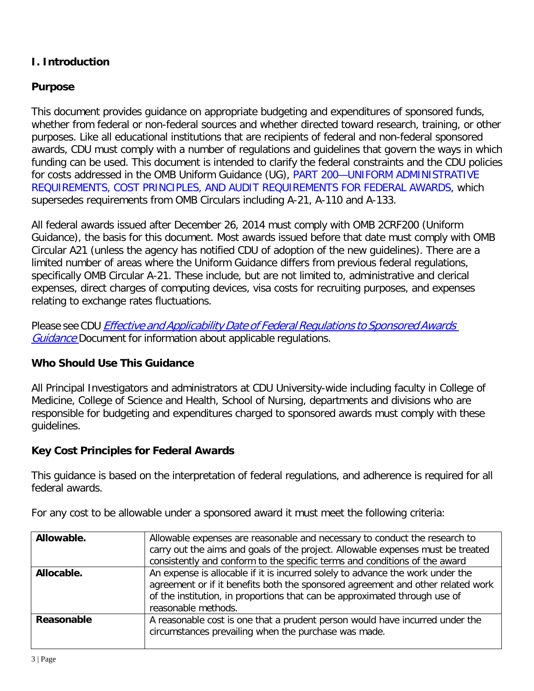## **I. Introduction**

## **Purpose**

This document provides guidance on appropriate budgeting and expenditures of sponsored funds, whether from federal or non-federal sources and whether directed toward research, training, or other purposes. Like all educational institutions that are recipients of federal and non-federal sponsored awards, CDU must comply with a number of regulations and guidelines that govern the ways in which funding can be used. This document is intended to clarify the federal constraints and the CDU policies for costs addressed in the OMB Uniform Guidance (UG), PART 200—UNIFORM ADMINISTRATIVE REQUIREMENTS, COST PRINCIPLES, AND AUDIT REQUIREMENTS FOR FEDERAL AWARDS, which supersedes requirements from OMB Circulars including A-21, A-110 and A-133.

All federal awards issued after December 26, 2014 must comply with OMB 2CRF200 (Uniform Guidance), the basis for this document. Most awards issued before that date must comply with OMB Circular A21 (unless the agency has notified CDU of adoption of the new guidelines). There are a limited number of areas where the Uniform Guidance differs from previous federal regulations, specifically OMB Circular A-21. These include, but are not limited to, administrative and clerical expenses, direct charges of computing devices, visa costs for recruiting purposes, and expenses relating to exchange rates fluctuations.

Please see CDU Effective and Applicability Date of Federal Regulations to Sponsored Awards Guidance Document for information about applicable regulations.

#### <span id="page-2-0"></span>**Who Should Use This Guidance**

All Principal Investigators and administrators at CDU University-wide including faculty in College of Medicine, College of Science and Health, School of Nursing, departments and divisions who are responsible for budgeting and expenditures charged to sponsored awards must comply with these guidelines.

#### <span id="page-2-1"></span>**Key Cost Principles for Federal Awards**

This guidance is based on the interpretation of federal regulations, and adherence is required for all federal awards.

| Allowable. | Allowable expenses are reasonable and necessary to conduct the research to<br>carry out the aims and goals of the project. Allowable expenses must be treated<br>consistently and conform to the specific terms and conditions of the award                            |
|------------|------------------------------------------------------------------------------------------------------------------------------------------------------------------------------------------------------------------------------------------------------------------------|
| Allocable. | An expense is allocable if it is incurred solely to advance the work under the<br>agreement or if it benefits both the sponsored agreement and other related work<br>of the institution, in proportions that can be approximated through use of<br>reasonable methods. |
| Reasonable | A reasonable cost is one that a prudent person would have incurred under the<br>circumstances prevailing when the purchase was made.                                                                                                                                   |

For any cost to be allowable under a sponsored award it must meet the following criteria: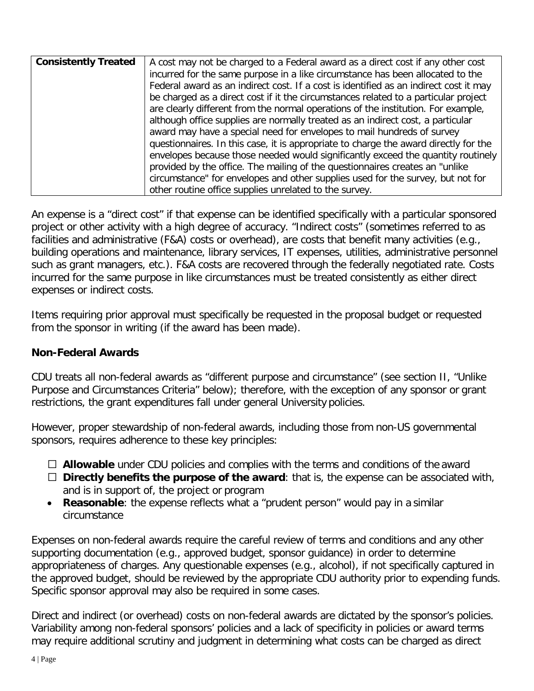| <b>Consistently Treated</b> | A cost may not be charged to a Federal award as a direct cost if any other cost       |
|-----------------------------|---------------------------------------------------------------------------------------|
|                             | incurred for the same purpose in a like circumstance has been allocated to the        |
|                             | Federal award as an indirect cost. If a cost is identified as an indirect cost it may |
|                             | be charged as a direct cost if it the circumstances related to a particular project   |
|                             | are clearly different from the normal operations of the institution. For example,     |
|                             | although office supplies are normally treated as an indirect cost, a particular       |
|                             | award may have a special need for envelopes to mail hundreds of survey                |
|                             | questionnaires. In this case, it is appropriate to charge the award directly for the  |
|                             | envelopes because those needed would significantly exceed the quantity routinely      |
|                             | provided by the office. The mailing of the questionnaires creates an "unlike"         |
|                             | circumstance" for envelopes and other supplies used for the survey, but not for       |
|                             | other routine office supplies unrelated to the survey.                                |

An expense is a "direct cost" if that expense can be identified specifically with a particular sponsored project or other activity with a high degree of accuracy. "Indirect costs" (sometimes referred to as facilities and administrative (F&A) costs or overhead), are costs that benefit many activities (e.g., building operations and maintenance, library services, IT expenses, utilities, administrative personnel such as grant managers, etc.). F&A costs are recovered through the federally negotiated rate. Costs incurred for the same purpose in like circumstances must be treated consistently as either direct expenses or indirect costs.

Items requiring prior approval must specifically be requested in the proposal budget or requested from the sponsor in writing (if the award has been made).

#### <span id="page-3-0"></span>**Non-Federal Awards**

CDU treats all non-federal awards as "different purpose and circumstance" (see section II, "Unlike Purpose and Circumstances Criteria" below); therefore, with the exception of any sponsor or grant restrictions, the grant expenditures fall under general University policies.

However, proper stewardship of non-federal awards, including those from non-US governmental sponsors, requires adherence to these key principles:

- **Allowable** under CDU policies and complies with the terms and conditions of the award
- **Directly benefits the purpose of the award**: that is, the expense can be associated with, and is in support of, the project or program
- **Reasonable**: the expense reflects what a "prudent person" would pay in a similar circumstance

Expenses on non-federal awards require the careful review of terms and conditions and any other supporting documentation (e.g., approved budget, sponsor guidance) in order to determine appropriateness of charges. Any questionable expenses (e.g., alcohol), if not specifically captured in the approved budget, should be reviewed by the appropriate CDU authority prior to expending funds. Specific sponsor approval may also be required in some cases.

Direct and indirect (or overhead) costs on non-federal awards are dictated by the sponsor's policies. Variability among non-federal sponsors' policies and a lack of specificity in policies or award terms may require additional scrutiny and judgment in determining what costs can be charged as direct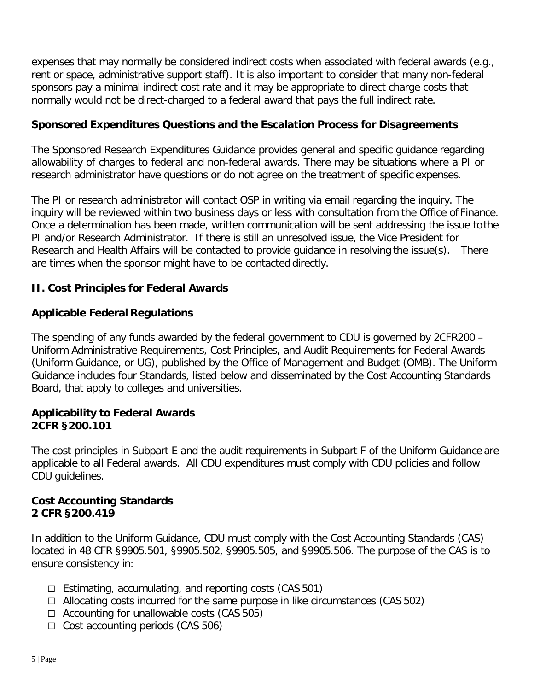expenses that may normally be considered indirect costs when associated with federal awards (e.g., rent or space, administrative support staff). It is also important to consider that many non-federal sponsors pay a minimal indirect cost rate and it may be appropriate to direct charge costs that normally would not be direct-charged to a federal award that pays the full indirect rate.

### <span id="page-4-0"></span>**Sponsored Expenditures Questions and the Escalation Process for Disagreements**

The Sponsored Research Expenditures Guidance provides general and specific guidance regarding allowability of charges to federal and non-federal awards. There may be situations where a PI or research administrator have questions or do not agree on the treatment of specific expenses.

The PI or research administrator will contact OSP in writing via email regarding the inquiry. The inquiry will be reviewed within two business days or less with consultation from the Office of Finance. Once a determination has been made, written communication will be sent addressing the issue tothe PI and/or Research Administrator. If there is still an unresolved issue, the Vice President for Research and Health Affairs will be contacted to provide guidance in resolving the issue(s). There are times when the sponsor might have to be contacted directly.

### **II. Cost Principles for Federal Awards**

### **Applicable Federal Regulations**

The spending of any funds awarded by the federal government to CDU is governed by 2CFR200 – Uniform Administrative Requirements, Cost Principles, and Audit Requirements for Federal Awards (Uniform Guidance, or UG), published by the Office of Management and Budget (OMB). The Uniform Guidance includes four Standards, listed below and disseminated by the Cost Accounting Standards Board, that apply to colleges and universities.

#### **Applicability to Federal Awards 2CFR §200.101**

The cost principles in Subpart E and the audit requirements in Subpart F of the Uniform Guidance are applicable to all Federal awards. All CDU expenditures must comply with CDU policies and follow CDU guidelines.

#### **Cost Accounting Standards 2 CFR §200.419**

In addition to the Uniform Guidance, CDU must comply with the Cost Accounting Standards (CAS) located in 48 CFR §9905.501, §9905.502, §9905.505, and §9905.506. The purpose of the CAS is to ensure consistency in:

- $\Box$  Estimating, accumulating, and reporting costs (CAS 501)
- $\Box$  Allocating costs incurred for the same purpose in like circumstances (CAS 502)
- $\Box$  Accounting for unallowable costs (CAS 505)
- $\Box$  Cost accounting periods (CAS 506)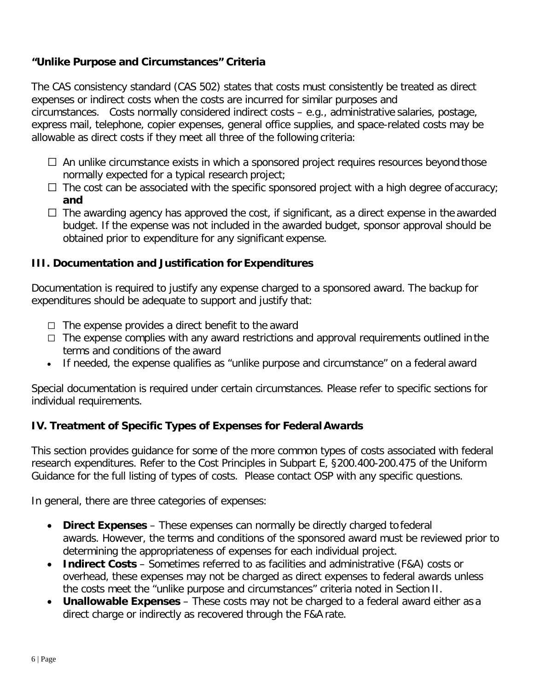## **"Unlike Purpose and Circumstances" Criteria**

The CAS consistency standard (CAS 502) states that costs must consistently be treated as direct expenses or indirect costs when the costs are incurred for similar purposes and circumstances. Costs normally considered indirect costs – e.g., administrative salaries, postage, express mail, telephone, copier expenses, general office supplies, and space-related costs may be allowable as direct costs if they meet all three of the following criteria:

- $\Box$  An unlike circumstance exists in which a sponsored project requires resources beyond those normally expected for a typical research project;
- $\Box$  The cost can be associated with the specific sponsored project with a high degree of accuracy; **and**
- $\Box$  The awarding agency has approved the cost, if significant, as a direct expense in the awarded budget. If the expense was not included in the awarded budget, sponsor approval should be obtained prior to expenditure for any significant expense.

#### **III. Documentation and Justification for Expenditures**

Documentation is required to justify any expense charged to a sponsored award. The backup for expenditures should be adequate to support and justify that:

- $\Box$  The expense provides a direct benefit to the award
- $\Box$  The expense complies with any award restrictions and approval requirements outlined in the terms and conditions of the award
- If needed, the expense qualifies as "unlike purpose and circumstance" on a federal award

Special documentation is required under certain circumstances. Please refer to specific sections for individual requirements.

#### **IV. Treatment of Specific Types of Expenses for Federal Awards**

This section provides guidance for some of the more common types of costs associated with federal research expenditures. Refer to the Cost Principles in Subpart E, §200.400-200.475 of the Uniform Guidance for the full listing of types of costs. Please contact OSP with any specific questions.

In general, there are three categories of expenses:

- **Direct Expenses**  These expenses can normally be directly charged to federal awards. However, the terms and conditions of the sponsored award must be reviewed prior to determining the appropriateness of expenses for each individual project.
- **Indirect Costs**  Sometimes referred to as facilities and administrative (F&A) costs or overhead, these expenses may not be charged as direct expenses to federal awards unless the costs meet the "unlike purpose and circumstances" criteria noted in Section II.
- **Unallowable Expenses**  These costs may not be charged to a federal award either as a direct charge or indirectly as recovered through the F&A rate.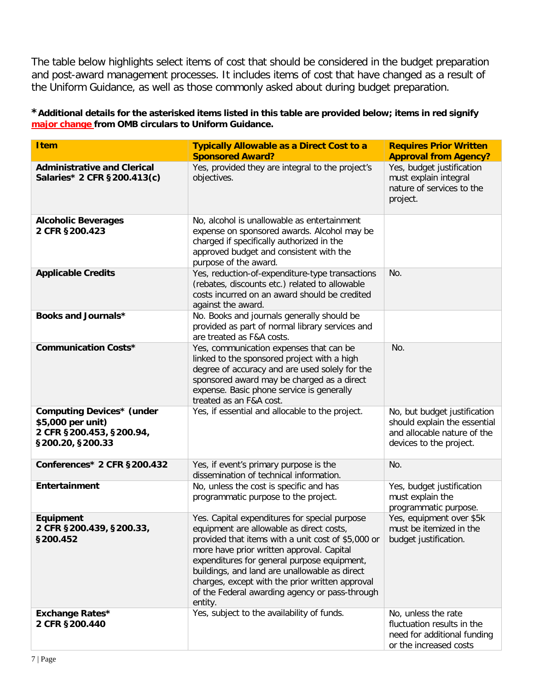The table below highlights select items of cost that should be considered in the budget preparation and post-award management processes. It includes items of cost that have changed as a result of the Uniform Guidance, as well as those commonly asked about during budget preparation.

**\*Additional details for the asterisked items listed in this table are provided below; items in red signify major change from OMB circulars to Uniform Guidance.**

| <b>Item</b>                                                                                           | <b>Typically Allowable as a Direct Cost to a</b><br><b>Sponsored Award?</b>                                                                                                                                                                                                                                                                                                                                  | <b>Requires Prior Written</b><br><b>Approval from Agency?</b>                                                          |
|-------------------------------------------------------------------------------------------------------|--------------------------------------------------------------------------------------------------------------------------------------------------------------------------------------------------------------------------------------------------------------------------------------------------------------------------------------------------------------------------------------------------------------|------------------------------------------------------------------------------------------------------------------------|
| <b>Administrative and Clerical</b><br>Salaries* 2 CFR §200.413(c)                                     | Yes, provided they are integral to the project's<br>objectives.                                                                                                                                                                                                                                                                                                                                              | Yes, budget justification<br>must explain integral<br>nature of services to the<br>project.                            |
| <b>Alcoholic Beverages</b><br>2 CFR §200.423                                                          | No, alcohol is unallowable as entertainment<br>expense on sponsored awards. Alcohol may be<br>charged if specifically authorized in the<br>approved budget and consistent with the<br>purpose of the award.                                                                                                                                                                                                  |                                                                                                                        |
| <b>Applicable Credits</b>                                                                             | Yes, reduction-of-expenditure-type transactions<br>(rebates, discounts etc.) related to allowable<br>costs incurred on an award should be credited<br>against the award.                                                                                                                                                                                                                                     | No.                                                                                                                    |
| Books and Journals*                                                                                   | No. Books and journals generally should be<br>provided as part of normal library services and<br>are treated as F&A costs.                                                                                                                                                                                                                                                                                   |                                                                                                                        |
| <b>Communication Costs*</b>                                                                           | Yes, communication expenses that can be<br>linked to the sponsored project with a high<br>degree of accuracy and are used solely for the<br>sponsored award may be charged as a direct<br>expense. Basic phone service is generally<br>treated as an F&A cost.                                                                                                                                               | No.                                                                                                                    |
| <b>Computing Devices* (under</b><br>\$5,000 per unit)<br>2 CFR §200.453, §200.94,<br>§200.20, §200.33 | Yes, if essential and allocable to the project.                                                                                                                                                                                                                                                                                                                                                              | No, but budget justification<br>should explain the essential<br>and allocable nature of the<br>devices to the project. |
| Conferences* 2 CFR §200.432                                                                           | Yes, if event's primary purpose is the<br>dissemination of technical information.                                                                                                                                                                                                                                                                                                                            | No.                                                                                                                    |
| Entertainment                                                                                         | No, unless the cost is specific and has<br>programmatic purpose to the project.                                                                                                                                                                                                                                                                                                                              | Yes, budget justification<br>must explain the<br>programmatic purpose.                                                 |
| Equipment<br>2 CFR §200.439, §200.33,<br>§200.452                                                     | Yes. Capital expenditures for special purpose<br>equipment are allowable as direct costs,<br>provided that items with a unit cost of \$5,000 or<br>more have prior written approval. Capital<br>expenditures for general purpose equipment,<br>buildings, and land are unallowable as direct<br>charges, except with the prior written approval<br>of the Federal awarding agency or pass-through<br>entity. | Yes, equipment over \$5k<br>must be itemized in the<br>budget justification.                                           |
| <b>Exchange Rates*</b><br>2 CFR §200.440                                                              | Yes, subject to the availability of funds.                                                                                                                                                                                                                                                                                                                                                                   | No, unless the rate<br>fluctuation results in the<br>need for additional funding<br>or the increased costs             |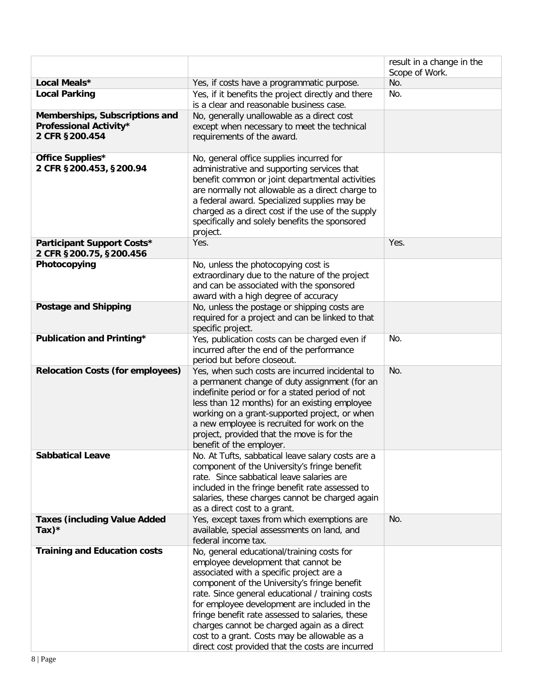|                                                                            |                                                                                                                                                                                                                                                                                                                                                                                                                                                                                         | result in a change in the<br>Scope of Work. |
|----------------------------------------------------------------------------|-----------------------------------------------------------------------------------------------------------------------------------------------------------------------------------------------------------------------------------------------------------------------------------------------------------------------------------------------------------------------------------------------------------------------------------------------------------------------------------------|---------------------------------------------|
| Local Meals*                                                               | Yes, if costs have a programmatic purpose.                                                                                                                                                                                                                                                                                                                                                                                                                                              | No.                                         |
| <b>Local Parking</b>                                                       | Yes, if it benefits the project directly and there                                                                                                                                                                                                                                                                                                                                                                                                                                      | No.                                         |
| Memberships, Subscriptions and<br>Professional Activity*<br>2 CFR §200.454 | is a clear and reasonable business case.<br>No, generally unallowable as a direct cost<br>except when necessary to meet the technical<br>requirements of the award.                                                                                                                                                                                                                                                                                                                     |                                             |
| Office Supplies*<br>2 CFR §200.453, §200.94                                | No, general office supplies incurred for<br>administrative and supporting services that<br>benefit common or joint departmental activities<br>are normally not allowable as a direct charge to<br>a federal award. Specialized supplies may be<br>charged as a direct cost if the use of the supply<br>specifically and solely benefits the sponsored<br>project.                                                                                                                       |                                             |
| Participant Support Costs*<br>2 CFR §200.75, §200.456                      | Yes.                                                                                                                                                                                                                                                                                                                                                                                                                                                                                    | Yes.                                        |
| Photocopying                                                               | No, unless the photocopying cost is<br>extraordinary due to the nature of the project<br>and can be associated with the sponsored<br>award with a high degree of accuracy                                                                                                                                                                                                                                                                                                               |                                             |
| <b>Postage and Shipping</b>                                                | No, unless the postage or shipping costs are<br>required for a project and can be linked to that<br>specific project.                                                                                                                                                                                                                                                                                                                                                                   |                                             |
| Publication and Printing*                                                  | Yes, publication costs can be charged even if<br>incurred after the end of the performance<br>period but before closeout.                                                                                                                                                                                                                                                                                                                                                               | No.                                         |
| <b>Relocation Costs (for employees)</b>                                    | Yes, when such costs are incurred incidental to<br>a permanent change of duty assignment (for an<br>indefinite period or for a stated period of not<br>less than 12 months) for an existing employee<br>working on a grant-supported project, or when<br>a new employee is recruited for work on the<br>project, provided that the move is for the<br>benefit of the employer.                                                                                                          | No.                                         |
| <b>Sabbatical Leave</b>                                                    | No. At Tufts, sabbatical leave salary costs are a<br>component of the University's fringe benefit<br>rate. Since sabbatical leave salaries are<br>included in the fringe benefit rate assessed to<br>salaries, these charges cannot be charged again<br>as a direct cost to a grant.                                                                                                                                                                                                    |                                             |
| <b>Taxes (including Value Added</b><br>Tax $)^*$                           | Yes, except taxes from which exemptions are<br>available, special assessments on land, and<br>federal income tax.                                                                                                                                                                                                                                                                                                                                                                       | No.                                         |
| <b>Training and Education costs</b>                                        | No, general educational/training costs for<br>employee development that cannot be<br>associated with a specific project are a<br>component of the University's fringe benefit<br>rate. Since general educational / training costs<br>for employee development are included in the<br>fringe benefit rate assessed to salaries, these<br>charges cannot be charged again as a direct<br>cost to a grant. Costs may be allowable as a<br>direct cost provided that the costs are incurred |                                             |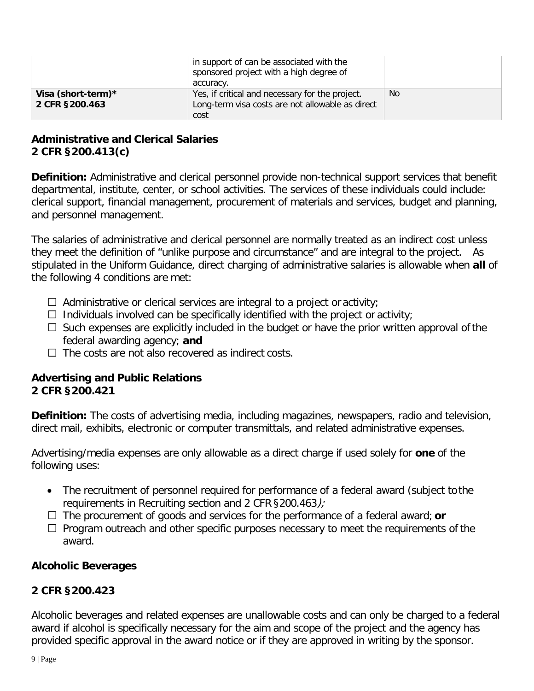|                                      | in support of can be associated with the<br>sponsored project with a high degree of<br>accuracy.            |           |
|--------------------------------------|-------------------------------------------------------------------------------------------------------------|-----------|
| Visa (short-term)*<br>2 CFR §200.463 | Yes, if critical and necessary for the project.<br>Long-term visa costs are not allowable as direct<br>cost | <b>No</b> |

#### **Administrative and Clerical Salaries 2 CFR §200.413(c)**

**Definition:** Administrative and clerical personnel provide non-technical support services that benefit departmental, institute, center, or school activities. The services of these individuals could include: clerical support, financial management, procurement of materials and services, budget and planning, and personnel management.

The salaries of administrative and clerical personnel are normally treated as an indirect cost unless they meet the definition of "unlike purpose and circumstance" and are integral to the project. As stipulated in the Uniform Guidance, direct charging of administrative salaries is allowable when **all** of the following 4 conditions are met:

- $\Box$  Administrative or clerical services are integral to a project or activity;
- $\Box$  Individuals involved can be specifically identified with the project or activity;
- $\Box$  Such expenses are explicitly included in the budget or have the prior written approval of the federal awarding agency; **and**
- $\Box$  The costs are not also recovered as indirect costs.

## **Advertising and Public Relations 2 CFR §200.421**

**Definition:** The costs of advertising media, including magazines, newspapers, radio and television, direct mail, exhibits, electronic or computer transmittals, and related administrative expenses.

Advertising/media expenses are only allowable as a direct charge if used solely for **one** of the following uses:

- The recruitment of personnel required for performance of a federal award (subject to the requirements in Recruiting section and 2 CFR §200.463);
- $\Box$  The procurement of goods and services for the performance of a federal award; **or**
- $\Box$  Program outreach and other specific purposes necessary to meet the requirements of the award.

## **Alcoholic Beverages**

## **2 CFR §200.423**

Alcoholic beverages and related expenses are unallowable costs and can only be charged to a federal award if alcohol is specifically necessary for the aim and scope of the project and the agency has provided specific approval in the award notice or if they are approved in writing by the sponsor.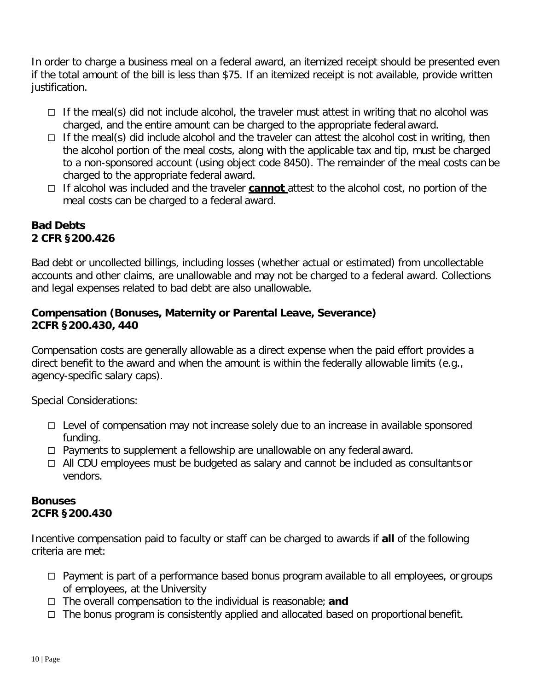In order to charge a business meal on a federal award, an itemized receipt should be presented even if the total amount of the bill is less than \$75. If an itemized receipt is not available, provide written justification.

- $\Box$  If the meal(s) did not include alcohol, the traveler must attest in writing that no alcohol was charged, and the entire amount can be charged to the appropriate federal award.
- $\Box$  If the meal(s) did include alcohol and the traveler can attest the alcohol cost in writing, then the alcohol portion of the meal costs, along with the applicable tax and tip, must be charged to a non-sponsored account (using object code 8450). The remainder of the meal costs can be charged to the appropriate federal award.
- □ If alcohol was included and the traveler **cannot** attest to the alcohol cost, no portion of the meal costs can be charged to a federal award.

#### <span id="page-9-0"></span>**Bad Debts 2 CFR §200.426**

Bad debt or uncollected billings, including losses (whether actual or estimated) from uncollectable accounts and other claims, are unallowable and may not be charged to a federal award. Collections and legal expenses related to bad debt are also unallowable.

#### **Compensation (Bonuses, Maternity or Parental Leave, Severance) 2CFR §200.430, 440**

Compensation costs are generally allowable as a direct expense when the paid effort provides a direct benefit to the award and when the amount is within the federally allowable limits (e.g., agency-specific salary caps).

Special Considerations:

- $\Box$  Level of compensation may not increase solely due to an increase in available sponsored funding.
- $\Box$  Payments to supplement a fellowship are unallowable on any federal award.
- $\Box$  All CDU employees must be budgeted as salary and cannot be included as consultants or vendors.

#### **Bonuses 2CFR §200.430**

Incentive compensation paid to faculty or staff can be charged to awards if **all** of the following criteria are met:

- $\Box$  Payment is part of a performance based bonus program available to all employees, or groups of employees, at the University
- The overall compensation to the individual is reasonable; **and**
- $\Box$  The bonus program is consistently applied and allocated based on proportional benefit.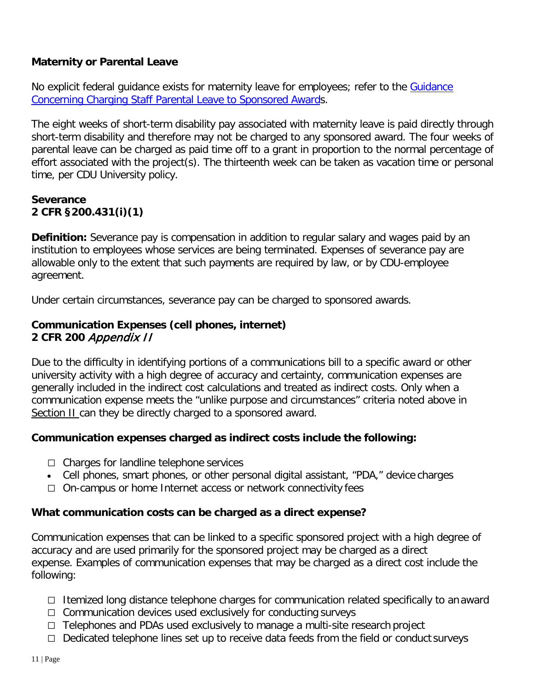## **Maternity or Parental Leave**

No explicit federal quidance exists for maternity leave for employees; refer to the Guidance Concerning Charging Staff Parental Leave to Sponsored Awards.

The eight weeks of short-term disability pay associated with maternity leave is paid directly through short-term disability and therefore may not be charged to any sponsored award. The four weeks of parental leave can be charged as paid time off to a grant in proportion to the normal percentage of effort associated with the project(s). The thirteenth week can be taken as vacation time or personal time, per CDU University policy.

#### **Severance 2 CFR §200.431(i)(1)**

**Definition:** Severance pay is compensation in addition to regular salary and wages paid by an institution to employees whose services are being terminated. Expenses of severance pay are allowable only to the extent that such payments are required by law, or by CDU-employee agreement.

Under certain circumstances, severance pay can be charged to sponsored awards.

#### **Communication Expenses (cell phones, internet) 2 CFR 200** Appendix II

Due to the difficulty in identifying portions of a communications bill to a specific award or other university activity with a high degree of accuracy and certainty, communication expenses are generally included in the indirect cost calculations and treated as indirect costs. Only when a communication expense meets the "unlike purpose and circumstances" criteria noted above in Section II can they be directly charged to a sponsored award.

#### **Communication expenses charged as indirect costs include the following:**

- $\Box$  Charges for landline telephone services
- Cell phones, smart phones, or other personal digital assistant, "PDA," device charges
- $\Box$  On-campus or home Internet access or network connectivity fees

#### **What communication costs can be charged as a direct expense?**

Communication expenses that can be linked to a specific sponsored project with a high degree of accuracy and are used primarily for the sponsored project may be charged as a direct expense. Examples of communication expenses that may be charged as a direct cost include the following:

- Itemized long distance telephone charges for communication related specifically to an award
- $\Box$  Communication devices used exclusively for conducting surveys
- $\Box$  Telephones and PDAs used exclusively to manage a multi-site research project
- $\Box$  Dedicated telephone lines set up to receive data feeds from the field or conduct surveys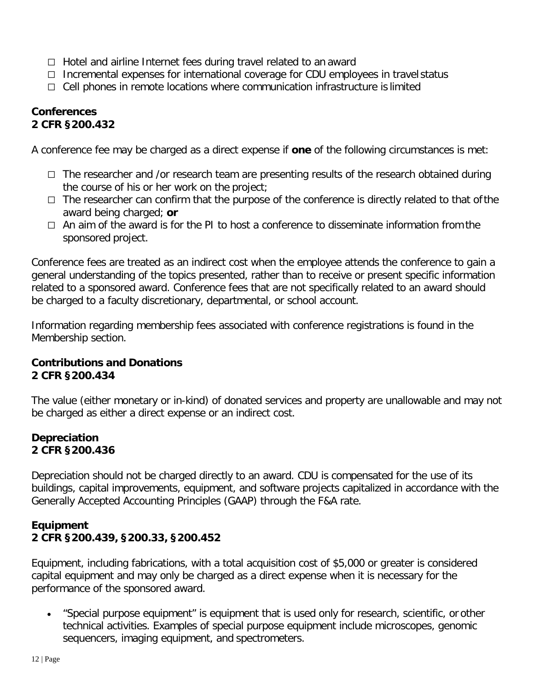- $\Box$  Hotel and airline Internet fees during travel related to an award
- $\Box$  Incremental expenses for international coverage for CDU employees in travel status
- $\Box$  Cell phones in remote locations where communication infrastructure is limited

#### <span id="page-11-0"></span>**Conferences 2 CFR §200.432**

A conference fee may be charged as a direct expense if **one** of the following circumstances is met:

- $\Box$  The researcher and /or research team are presenting results of the research obtained during the course of his or her work on the project;
- $\Box$  The researcher can confirm that the purpose of the conference is directly related to that of the award being charged; **or**
- $\Box$  An aim of the award is for the PI to host a conference to disseminate information from the sponsored project.

Conference fees are treated as an indirect cost when the employee attends the conference to gain a general understanding of the topics presented, rather than to receive or present specific information related to a sponsored award. Conference fees that are not specifically related to an award should be charged to a faculty discretionary, departmental, or school account.

Information regarding membership fees associated with conference registrations is found in the Membership section.

#### **Contributions and Donations 2 CFR §200.434**

The value (either monetary or in-kind) of donated services and property are unallowable and may not be charged as either a direct expense or an indirect cost.

### <span id="page-11-1"></span>**Depreciation 2 CFR §200.436**

Depreciation should not be charged directly to an award. CDU is compensated for the use of its buildings, capital improvements, equipment, and software projects capitalized in accordance with the Generally Accepted Accounting Principles (GAAP) through the F&A rate.

### <span id="page-11-2"></span>**Equipment 2 CFR §200.439, §200.33, §200.452**

Equipment, including fabrications, with a total acquisition cost of \$5,000 or greater is considered capital equipment and may only be charged as a direct expense when it is necessary for the performance of the sponsored award.

• "Special purpose equipment" is equipment that is used only for research, scientific, or other technical activities. Examples of special purpose equipment include microscopes, genomic sequencers, imaging equipment, and spectrometers.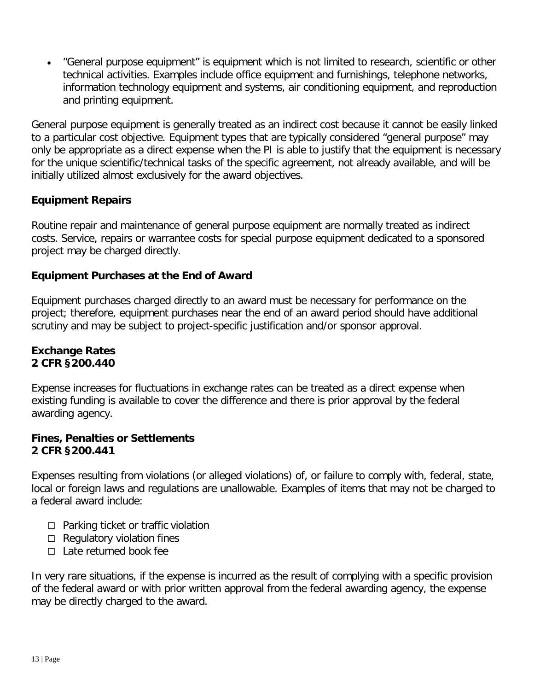• "General purpose equipment" is equipment which is not limited to research, scientific or other technical activities. Examples include office equipment and furnishings, telephone networks, information technology equipment and systems, air conditioning equipment, and reproduction and printing equipment.

General purpose equipment is generally treated as an indirect cost because it cannot be easily linked to a particular cost objective. Equipment types that are typically considered "general purpose" may only be appropriate as a direct expense when the PI is able to justify that the equipment is necessary for the unique scientific/technical tasks of the specific agreement, not already available, and will be initially utilized almost exclusively for the award objectives.

## **Equipment Repairs**

Routine repair and maintenance of general purpose equipment are normally treated as indirect costs. Service, repairs or warrantee costs for special purpose equipment dedicated to a sponsored project may be charged directly.

#### **Equipment Purchases at the End of Award**

Equipment purchases charged directly to an award must be necessary for performance on the project; therefore, equipment purchases near the end of an award period should have additional scrutiny and may be subject to project-specific justification and/or sponsor approval.

#### **Exchange Rates 2 CFR §200.440**

Expense increases for fluctuations in exchange rates can be treated as a direct expense when existing funding is available to cover the difference and there is prior approval by the federal awarding agency.

#### **Fines, Penalties or Settlements 2 CFR §200.441**

Expenses resulting from violations (or alleged violations) of, or failure to comply with, federal, state, local or foreign laws and regulations are unallowable. Examples of items that may not be charged to a federal award include:

- $\Box$  Parking ticket or traffic violation
- $\Box$  Regulatory violation fines
- $\Box$  Late returned book fee

In very rare situations, if the expense is incurred as the result of complying with a specific provision of the federal award or with prior written approval from the federal awarding agency, the expense may be directly charged to the award.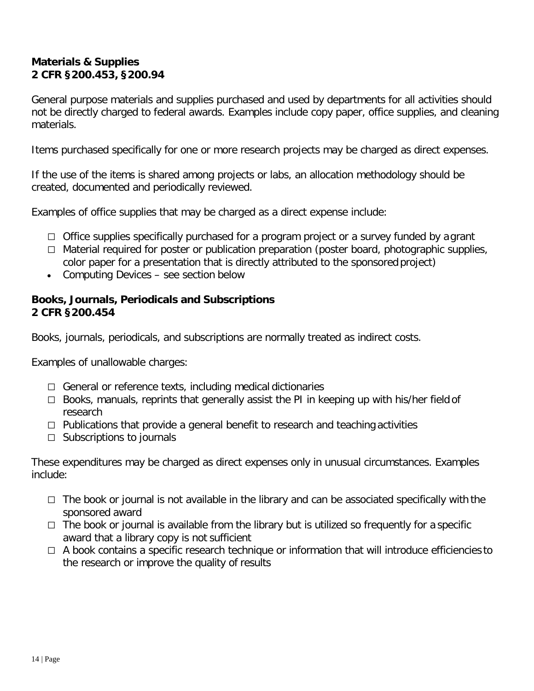#### **Materials & Supplies 2 CFR §200.453, §200.94**

General purpose materials and supplies purchased and used by departments for all activities should not be directly charged to federal awards. Examples include copy paper, office supplies, and cleaning materials.

Items purchased specifically for one or more research projects may be charged as direct expenses.

If the use of the items is shared among projects or labs, an allocation methodology should be created, documented and periodically reviewed.

Examples of office supplies that may be charged as a direct expense include:

- $\Box$  Office supplies specifically purchased for a program project or a survey funded by a grant
- $\Box$  Material required for poster or publication preparation (poster board, photographic supplies, color paper for a presentation that is directly attributed to the sponsored project)
- Computing Devices see section below

#### **Books, Journals, Periodicals and Subscriptions 2 CFR §200.454**

Books, journals, periodicals, and subscriptions are normally treated as indirect costs.

Examples of unallowable charges:

- $\Box$  General or reference texts, including medical dictionaries
- $\Box$  Books, manuals, reprints that generally assist the PI in keeping up with his/her field of research
- $\Box$  Publications that provide a general benefit to research and teaching activities
- $\Box$  Subscriptions to journals

These expenditures may be charged as direct expenses only in unusual circumstances. Examples include:

- $\Box$  The book or journal is not available in the library and can be associated specifically with the sponsored award
- $\Box$  The book or journal is available from the library but is utilized so frequently for a specific award that a library copy is not sufficient
- $\Box$  A book contains a specific research technique or information that will introduce efficiencies to the research or improve the quality of results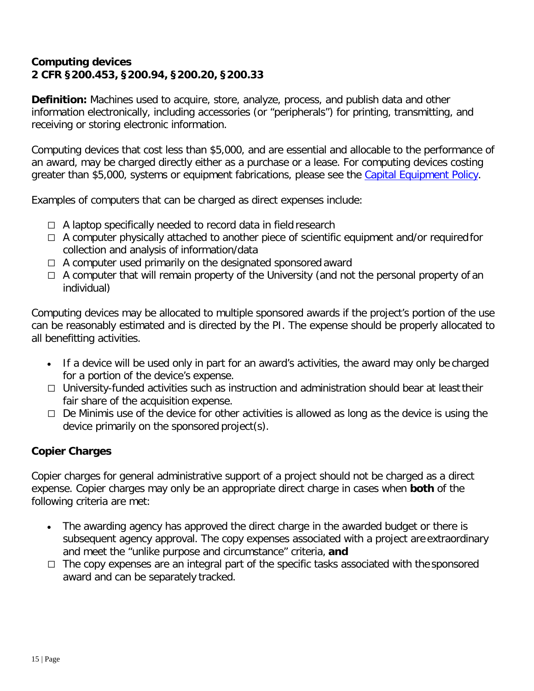### **Computing devices 2 CFR §200.453, §200.94, §200.20, §200.33**

**Definition:** Machines used to acquire, store, analyze, process, and publish data and other information electronically, including accessories (or "peripherals") for printing, transmitting, and receiving or storing electronic information.

Computing devices that cost less than \$5,000, and are essential and allocable to the performance of an award, may be charged directly either as a purchase or a lease. For computing devices costing greater than \$5,000, systems or equipment fabrications, please see the Capital Equipment Policy.

Examples of computers that can be charged as direct expenses include:

- $\Box$  A laptop specifically needed to record data in field research
- $\Box$  A computer physically attached to another piece of scientific equipment and/or required for collection and analysis of information/data
- $\Box$  A computer used primarily on the designated sponsored award
- $\Box$  A computer that will remain property of the University (and not the personal property of an individual)

Computing devices may be allocated to multiple sponsored awards if the project's portion of the use can be reasonably estimated and is directed by the PI. The expense should be properly allocated to all benefitting activities.

- If a device will be used only in part for an award's activities, the award may only be charged for a portion of the device's expense.
- $\Box$  University-funded activities such as instruction and administration should bear at least their fair share of the acquisition expense.
- $\Box$  De Minimis use of the device for other activities is allowed as long as the device is using the device primarily on the sponsored project(s).

## **Copier Charges**

Copier charges for general administrative support of a project should not be charged as a direct expense. Copier charges may only be an appropriate direct charge in cases when **both** of the following criteria are met:

- The awarding agency has approved the direct charge in the awarded budget or there is subsequent agency approval. The copy expenses associated with a project are extraordinary and meet the "unlike purpose and circumstance" criteria, **and**
- $\Box$  The copy expenses are an integral part of the specific tasks associated with the sponsored award and can be separately tracked.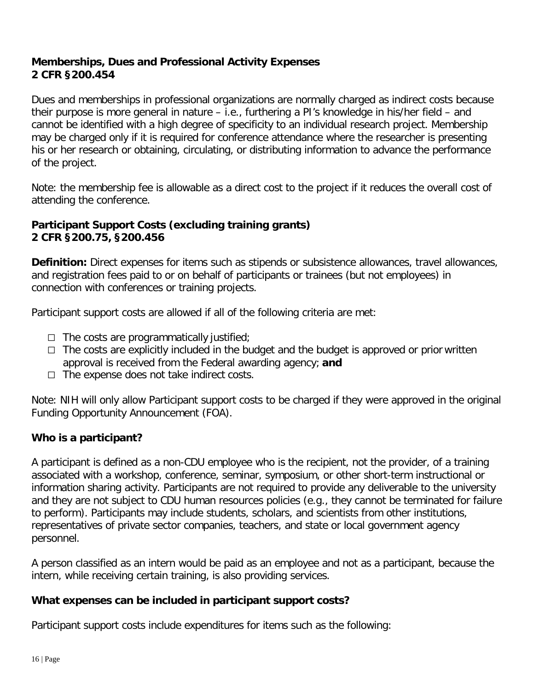#### **Memberships, Dues and Professional Activity Expenses 2 CFR §200.454**

Dues and memberships in professional organizations are normally charged as indirect costs because their purpose is more general in nature – i.e., furthering a PI's knowledge in his/her field – and cannot be identified with a high degree of specificity to an individual research project. Membership may be charged only if it is required for conference attendance where the researcher is presenting his or her research or obtaining, circulating, or distributing information to advance the performance of the project.

Note: the membership fee is allowable as a direct cost to the project if it reduces the overall cost of attending the conference.

#### **Participant Support Costs (excluding training grants) 2 CFR §200.75, §200.456**

**Definition:** Direct expenses for items such as stipends or subsistence allowances, travel allowances, and registration fees paid to or on behalf of participants or trainees (but not employees) in connection with conferences or training projects.

Participant support costs are allowed if all of the following criteria are met:

- $\Box$  The costs are programmatically justified;
- $\Box$  The costs are explicitly included in the budget and the budget is approved or prior written approval is received from the Federal awarding agency; **and**
- $\Box$  The expense does not take indirect costs.

Note: NIH will only allow Participant support costs to be charged if they were approved in the original Funding Opportunity Announcement (FOA).

#### **Who is a participant?**

A participant is defined as a non-CDU employee who is the recipient, not the provider, of a training associated with a workshop, conference, seminar, symposium, or other short-term instructional or information sharing activity. Participants are not required to provide any deliverable to the university and they are not subject to CDU human resources policies (e.g., they cannot be terminated for failure to perform). Participants may include students, scholars, and scientists from other institutions, representatives of private sector companies, teachers, and state or local government agency personnel.

A person classified as an intern would be paid as an employee and not as a participant, because the intern, while receiving certain training, is also providing services.

#### **What expenses can be included in participant support costs?**

Participant support costs include expenditures for items such as the following: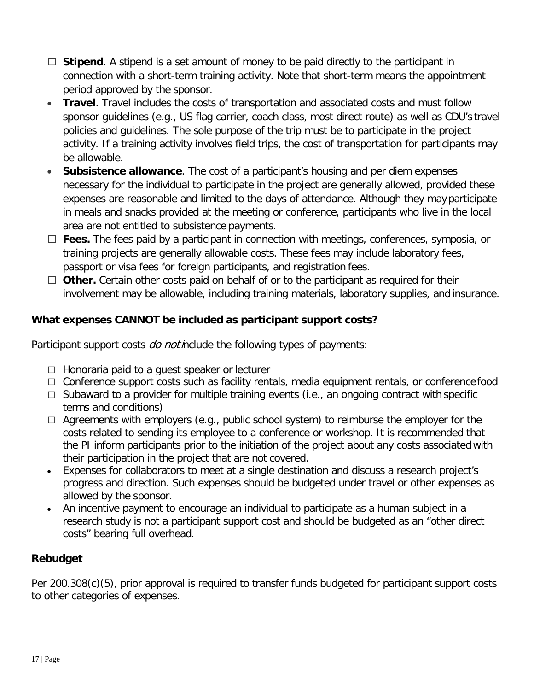- □ Stipend. A stipend is a set amount of money to be paid directly to the participant in connection with a short-term training activity. Note that short-term means the appointment period approved by the sponsor.
- **Travel**. Travel includes the costs of transportation and associated costs and must follow sponsor guidelines (e.g., US flag carrier, coach class, most direct route) as well as CDU's travel policies and guidelines. The sole purpose of the trip must be to participate in the project activity. If a training activity involves field trips, the cost of transportation for participants may be allowable.
- **Subsistence allowance**. The cost of a participant's housing and per diem expenses necessary for the individual to participate in the project are generally allowed, provided these expenses are reasonable and limited to the days of attendance. Although they may participate in meals and snacks provided at the meeting or conference, participants who live in the local area are not entitled to subsistence payments.
- □ **Fees.** The fees paid by a participant in connection with meetings, conferences, symposia, or training projects are generally allowable costs. These fees may include laboratory fees, passport or visa fees for foreign participants, and registration fees.
- □ **Other.** Certain other costs paid on behalf of or to the participant as required for their involvement may be allowable, including training materials, laboratory supplies, and insurance.

## **What expenses CANNOT be included as participant support costs?**

Participant support costs *do not i*nclude the following types of payments:

- $\Box$  Honoraria paid to a guest speaker or lecturer
- □ Conference support costs such as facility rentals, media equipment rentals, or conference food
- $\Box$  Subaward to a provider for multiple training events (i.e., an ongoing contract with specific terms and conditions)
- $\Box$  Agreements with employers (e.g., public school system) to reimburse the employer for the costs related to sending its employee to a conference or workshop. It is recommended that the PI inform participants prior to the initiation of the project about any costs associated with their participation in the project that are not covered.
- Expenses for collaborators to meet at a single destination and discuss a research project's progress and direction. Such expenses should be budgeted under travel or other expenses as allowed by the sponsor.
- An incentive payment to encourage an individual to participate as a human subject in a research study is not a participant support cost and should be budgeted as an "other direct costs" bearing full overhead.

## **Rebudget**

Per 200.308(c)(5), prior approval is required to transfer funds budgeted for participant support costs to other categories of expenses.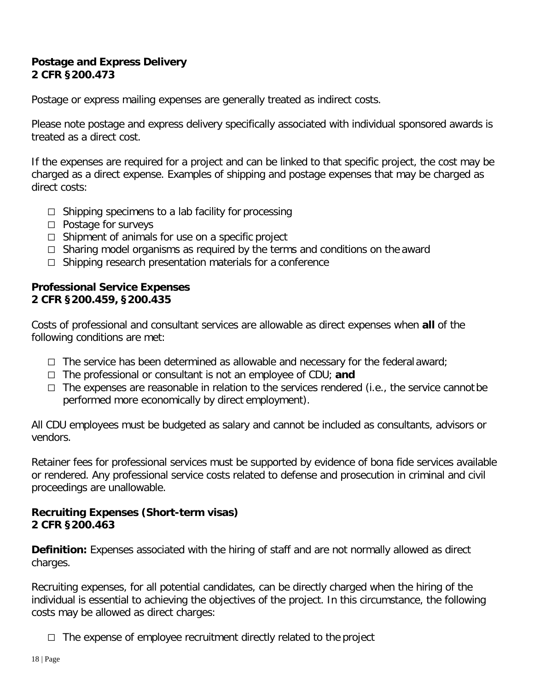#### **Postage and Express Delivery 2 CFR §200.473**

Postage or express mailing expenses are generally treated as indirect costs.

Please note postage and express delivery specifically associated with individual sponsored awards is treated as a direct cost.

If the expenses are required for a project and can be linked to that specific project, the cost may be charged as a direct expense. Examples of shipping and postage expenses that may be charged as direct costs:

- $\Box$  Shipping specimens to a lab facility for processing
- $\Box$  Postage for surveys
- $\Box$  Shipment of animals for use on a specific project
- $\Box$  Sharing model organisms as required by the terms and conditions on the award
- $\Box$  Shipping research presentation materials for a conference

#### **Professional Service Expenses 2 CFR §200.459, §200.435**

Costs of professional and consultant services are allowable as direct expenses when **all** of the following conditions are met:

- $\Box$  The service has been determined as allowable and necessary for the federal award;
- The professional or consultant is not an employee of CDU; **and**
- $\Box$  The expenses are reasonable in relation to the services rendered (i.e., the service cannot be performed more economically by direct employment).

All CDU employees must be budgeted as salary and cannot be included as consultants, advisors or vendors.

Retainer fees for professional services must be supported by evidence of bona fide services available or rendered. Any professional service costs related to defense and prosecution in criminal and civil proceedings are unallowable.

#### **Recruiting Expenses (Short-term visas) 2 CFR §200.463**

**Definition:** Expenses associated with the hiring of staff and are not normally allowed as direct charges.

Recruiting expenses, for all potential candidates, can be directly charged when the hiring of the individual is essential to achieving the objectives of the project. In this circumstance, the following costs may be allowed as direct charges:

 $\Box$  The expense of employee recruitment directly related to the project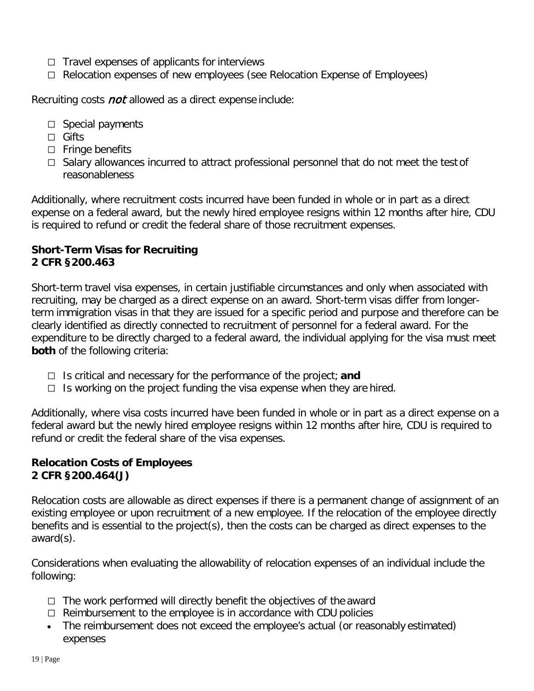- $\Box$  Travel expenses of applicants for interviews
- $\Box$  Relocation expenses of new employees (see Relocation Expense of Employees)

Recruiting costs *not* allowed as a direct expense include:

- $\Box$  Special payments
- □ Gifts
- $\Box$  Fringe benefits
- $\Box$  Salary allowances incurred to attract professional personnel that do not meet the test of reasonableness

Additionally, where recruitment costs incurred have been funded in whole or in part as a direct expense on a federal award, but the newly hired employee resigns within 12 months after hire, CDU is required to refund or credit the federal share of those recruitment expenses.

#### **Short-Term Visas for Recruiting 2 CFR §200.463**

Short-term travel visa expenses, in certain justifiable circumstances and only when associated with recruiting, may be charged as a direct expense on an award. Short-term visas differ from longerterm immigration visas in that they are issued for a specific period and purpose and therefore can be clearly identified as directly connected to recruitment of personnel for a federal award. For the expenditure to be directly charged to a federal award, the individual applying for the visa must meet **both** of the following criteria:

- $\Box$  Is critical and necessary for the performance of the project; **and**
- $\Box$  Is working on the project funding the visa expense when they are hired.

Additionally, where visa costs incurred have been funded in whole or in part as a direct expense on a federal award but the newly hired employee resigns within 12 months after hire, CDU is required to refund or credit the federal share of the visa expenses.

#### **Relocation Costs of Employees 2 CFR §200.464(J)**

Relocation costs are allowable as direct expenses if there is a permanent change of assignment of an existing employee or upon recruitment of a new employee. If the relocation of the employee directly benefits and is essential to the project(s), then the costs can be charged as direct expenses to the award(s).

Considerations when evaluating the allowability of relocation expenses of an individual include the following:

- $\Box$  The work performed will directly benefit the objectives of the award
- $\Box$  Reimbursement to the employee is in accordance with CDU policies
- The reimbursement does not exceed the employee's actual (or reasonably estimated) expenses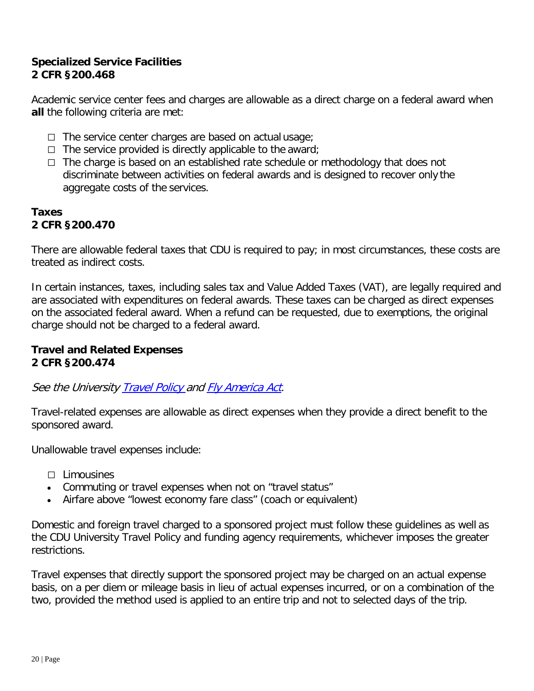#### **Specialized Service Facilities 2 CFR §200.468**

Academic service center fees and charges are allowable as a direct charge on a federal award when **all** the following criteria are met:

- $\Box$  The service center charges are based on actual usage;
- $\Box$  The service provided is directly applicable to the award;
- $\Box$  The charge is based on an established rate schedule or methodology that does not discriminate between activities on federal awards and is designed to recover only the aggregate costs of the services.

#### **Taxes 2 CFR §200.470**

There are allowable federal taxes that CDU is required to pay; in most circumstances, these costs are treated as indirect costs.

In certain instances, taxes, including sales tax and Value Added Taxes (VAT), are legally required and are associated with expenditures on federal awards. These taxes can be charged as direct expenses on the associated federal award. When a refund can be requested, due to exemptions, the original charge should not be charged to a federal award.

#### **Travel and Related Expenses 2 CFR §200.474**

See the University **Travel Policy and Fly America Act**.

Travel-related expenses are allowable as direct expenses when they provide a direct benefit to the sponsored award.

Unallowable travel expenses include:

- $\Box$  Limousines
- Commuting or travel expenses when not on "travel status"
- Airfare above "lowest economy fare class" (coach or equivalent)

Domestic and foreign travel charged to a sponsored project must follow these guidelines as well as the CDU University Travel Policy and funding agency requirements, whichever imposes the greater restrictions.

Travel expenses that directly support the sponsored project may be charged on an actual expense basis, on a per diem or mileage basis in lieu of actual expenses incurred, or on a combination of the two, provided the method used is applied to an entire trip and not to selected days of the trip.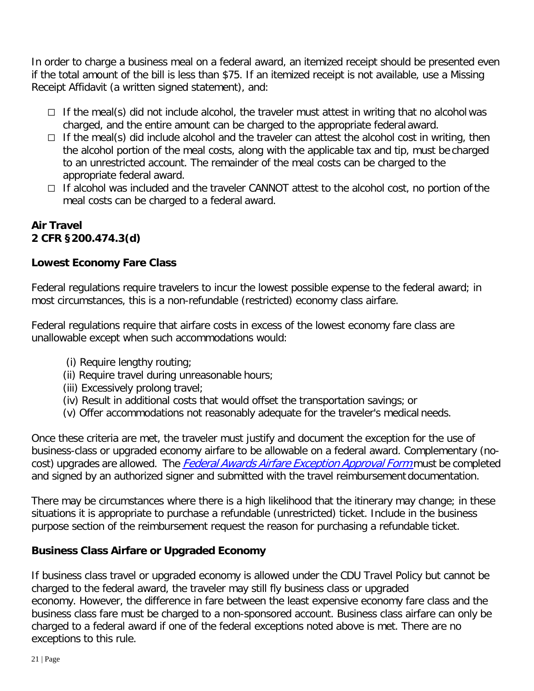In order to charge a business meal on a federal award, an itemized receipt should be presented even if the total amount of the bill is less than \$75. If an itemized receipt is not available, use a Missing Receipt Affidavit (a written signed statement), and:

- $\Box$  If the meal(s) did not include alcohol, the traveler must attest in writing that no alcohol was charged, and the entire amount can be charged to the appropriate federal award.
- $\Box$  If the meal(s) did include alcohol and the traveler can attest the alcohol cost in writing, then the alcohol portion of the meal costs, along with the applicable tax and tip, must be charged to an unrestricted account. The remainder of the meal costs can be charged to the appropriate federal award.
- $\Box$  If alcohol was included and the traveler CANNOT attest to the alcohol cost, no portion of the meal costs can be charged to a federal award.

## **Air Travel 2 CFR §200.474.3(d)**

## **Lowest Economy Fare Class**

Federal regulations require travelers to incur the lowest possible expense to the federal award; in most circumstances, this is a non-refundable (restricted) economy class airfare.

Federal regulations require that airfare costs in excess of the lowest economy fare class are unallowable except when such accommodations would:

- (i) Require lengthy routing;
- (ii) Require travel during unreasonable hours;
- (iii) Excessively prolong travel;
- (iv) Result in additional costs that would offset the transportation savings; or
- (v) Offer accommodations not reasonably adequate for the traveler's medical needs.

Once these criteria are met, the traveler must justify and document the exception for the use of business-class or upgraded economy airfare to be allowable on a federal award. Complementary (nocost) upgrades are allowed. The *Federal Awards Airfare Exception Approval Form* must be completed and signed by an authorized signer and submitted with the travel reimbursement documentation.

There may be circumstances where there is a high likelihood that the itinerary may change; in these situations it is appropriate to purchase a refundable (unrestricted) ticket. Include in the business purpose section of the reimbursement request the reason for purchasing a refundable ticket.

## **Business Class Airfare or Upgraded Economy**

If business class travel or upgraded economy is allowed under the CDU Travel Policy but cannot be charged to the federal award, the traveler may still fly business class or upgraded economy. However, the difference in fare between the least expensive economy fare class and the business class fare must be charged to a non-sponsored account. Business class airfare can only be charged to a federal award if one of the federal exceptions noted above is met. There are no exceptions to this rule.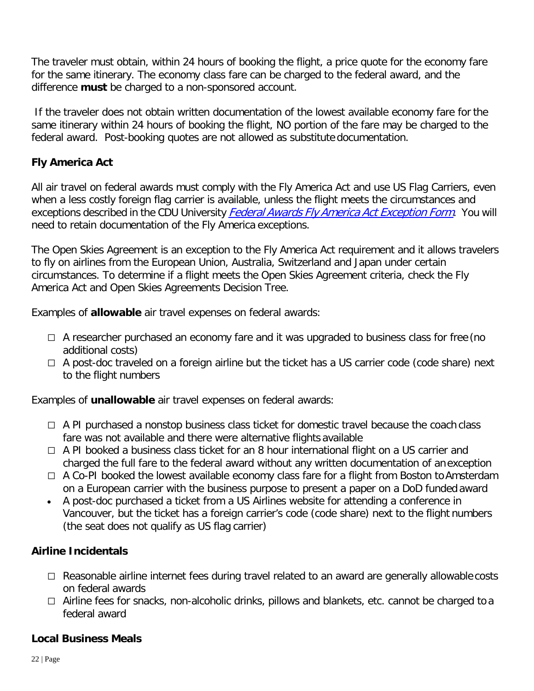The traveler must obtain, within 24 hours of booking the flight, a price quote for the economy fare for the same itinerary. The economy class fare can be charged to the federal award, and the difference **must** be charged to a non-sponsored account.

If the traveler does not obtain written documentation of the lowest available economy fare for the same itinerary within 24 hours of booking the flight, NO portion of the fare may be charged to the federal award. Post-booking quotes are not allowed as substitute documentation.

## **Fly America Act**

All air travel on federal awards must comply with the Fly America Act and use US Flag Carriers, even when a less costly foreign flag carrier is available, unless the flight meets the circumstances and exceptions described in the CDU University **Federal Awards Fly America Act Exception Form**. You will need to retain documentation of the Fly America exceptions.

The Open Skies Agreement is an exception to the Fly America Act requirement and it allows travelers to fly on airlines from the European Union, Australia, Switzerland and Japan under certain circumstances. To determine if a flight meets the Open Skies Agreement criteria, check the Fly America Act and Open Skies Agreements Decision Tree.

Examples of **allowable** air travel expenses on federal awards:

- $\Box$  A researcher purchased an economy fare and it was upgraded to business class for free (no additional costs)
- $\Box$  A post-doc traveled on a foreign airline but the ticket has a US carrier code (code share) next to the flight numbers

Examples of **unallowable** air travel expenses on federal awards:

- $\Box$  A PI purchased a nonstop business class ticket for domestic travel because the coach class fare was not available and there were alternative flights available
- $\Box$  A PI booked a business class ticket for an 8 hour international flight on a US carrier and charged the full fare to the federal award without any written documentation of an exception
- $\Box$  A Co-PI booked the lowest available economy class fare for a flight from Boston to Amsterdam on a European carrier with the business purpose to present a paper on a DoD funded award
- A post-doc purchased a ticket from a US Airlines website for attending a conference in Vancouver, but the ticket has a foreign carrier's code (code share) next to the flight numbers (the seat does not qualify as US flag carrier)

## **Airline Incidentals**

- $\Box$  Reasonable airline internet fees during travel related to an award are generally allowable costs on federal awards
- $\Box$  Airline fees for snacks, non-alcoholic drinks, pillows and blankets, etc. cannot be charged to a federal award

## **Local Business Meals**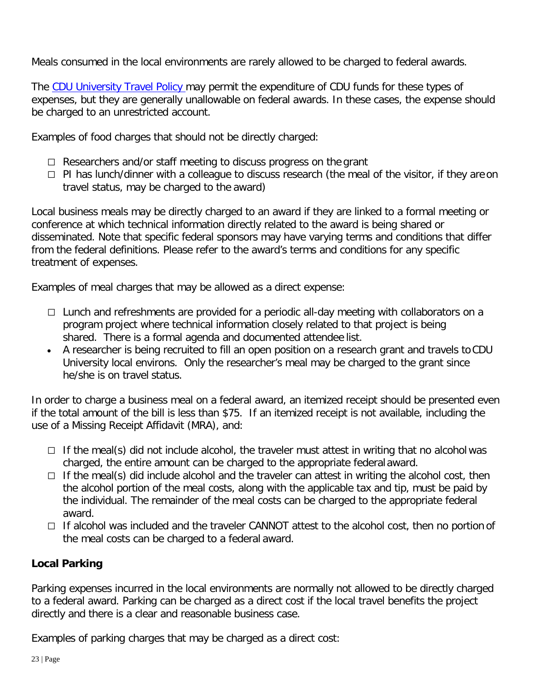Meals consumed in the local environments are rarely allowed to be charged to federal awards.

The CDU University Travel Policy may permit the expenditure of CDU funds for these types of expenses, but they are generally unallowable on federal awards. In these cases, the expense should be charged to an unrestricted account.

Examples of food charges that should not be directly charged:

- $\Box$  Researchers and/or staff meeting to discuss progress on the grant
- $\Box$  PI has lunch/dinner with a colleague to discuss research (the meal of the visitor, if they are on travel status, may be charged to the award)

Local business meals may be directly charged to an award if they are linked to a formal meeting or conference at which technical information directly related to the award is being shared or disseminated. Note that specific federal sponsors may have varying terms and conditions that differ from the federal definitions. Please refer to the award's terms and conditions for any specific treatment of expenses.

Examples of meal charges that may be allowed as a direct expense:

- $\Box$  Lunch and refreshments are provided for a periodic all-day meeting with collaborators on a program project where technical information closely related to that project is being shared. There is a formal agenda and documented attendee list.
- A researcher is being recruited to fill an open position on a research grant and travels toCDU University local environs. Only the researcher's meal may be charged to the grant since he/she is on travel status.

In order to charge a business meal on a federal award, an itemized receipt should be presented even if the total amount of the bill is less than \$75. If an itemized receipt is not available, including the use of a Missing Receipt Affidavit (MRA), and:

- $\Box$  If the meal(s) did not include alcohol, the traveler must attest in writing that no alcohol was charged, the entire amount can be charged to the appropriate federal award.
- $\Box$  If the meal(s) did include alcohol and the traveler can attest in writing the alcohol cost, then the alcohol portion of the meal costs, along with the applicable tax and tip, must be paid by the individual. The remainder of the meal costs can be charged to the appropriate federal award.
- If alcohol was included and the traveler CANNOT attest to the alcohol cost, then no portion of the meal costs can be charged to a federal award.

## **Local Parking**

Parking expenses incurred in the local environments are normally not allowed to be directly charged to a federal award. Parking can be charged as a direct cost if the local travel benefits the project directly and there is a clear and reasonable business case.

Examples of parking charges that may be charged as a direct cost: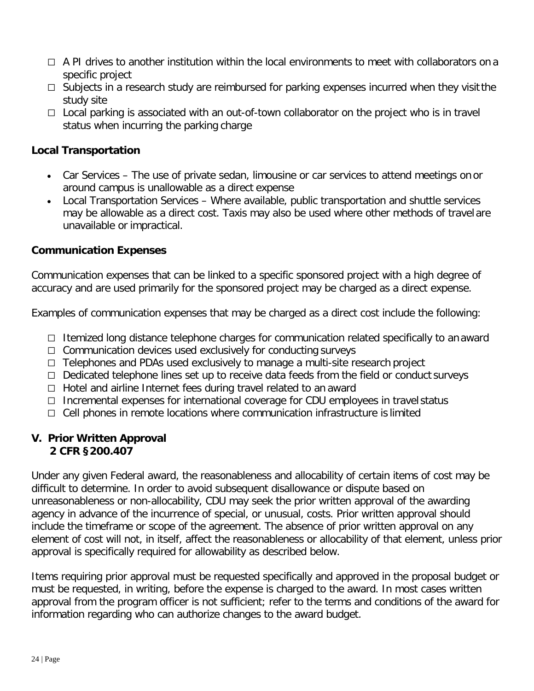- $\Box$  A PI drives to another institution within the local environments to meet with collaborators on a specific project
- $\Box$  Subjects in a research study are reimbursed for parking expenses incurred when they visit the study site
- $\Box$  Local parking is associated with an out-of-town collaborator on the project who is in travel status when incurring the parking charge

#### **Local Transportation**

- Car Services The use of private sedan, limousine or car services to attend meetings on or around campus is unallowable as a direct expense
- Local Transportation Services Where available, public transportation and shuttle services may be allowable as a direct cost. Taxis may also be used where other methods of travel are unavailable or impractical.

#### **Communication Expenses**

Communication expenses that can be linked to a specific sponsored project with a high degree of accuracy and are used primarily for the sponsored project may be charged as a direct expense.

Examples of communication expenses that may be charged as a direct cost include the following:

- Itemized long distance telephone charges for communication related specifically to an award
- $\Box$  Communication devices used exclusively for conducting surveys
- □ Telephones and PDAs used exclusively to manage a multi-site research project
- $\Box$  Dedicated telephone lines set up to receive data feeds from the field or conduct surveys
- $\Box$  Hotel and airline Internet fees during travel related to an award
- $\Box$  Incremental expenses for international coverage for CDU employees in travel status
- $\Box$  Cell phones in remote locations where communication infrastructure is limited

#### **V. Prior Written Approval 2 CFR §200.407**

Under any given Federal award, the reasonableness and allocability of certain items of cost may be difficult to determine. In order to avoid subsequent disallowance or dispute based on unreasonableness or non-allocability, CDU may seek the prior written approval of the awarding agency in advance of the incurrence of special, or unusual, costs. Prior written approval should include the timeframe or scope of the agreement. The absence of prior written approval on any element of cost will not, in itself, affect the reasonableness or allocability of that element, unless prior approval is specifically required for allowability as described below.

Items requiring prior approval must be requested specifically and approved in the proposal budget or must be requested, in writing, before the expense is charged to the award. In most cases written approval from the program officer is not sufficient; refer to the terms and conditions of the award for information regarding who can authorize changes to the award budget.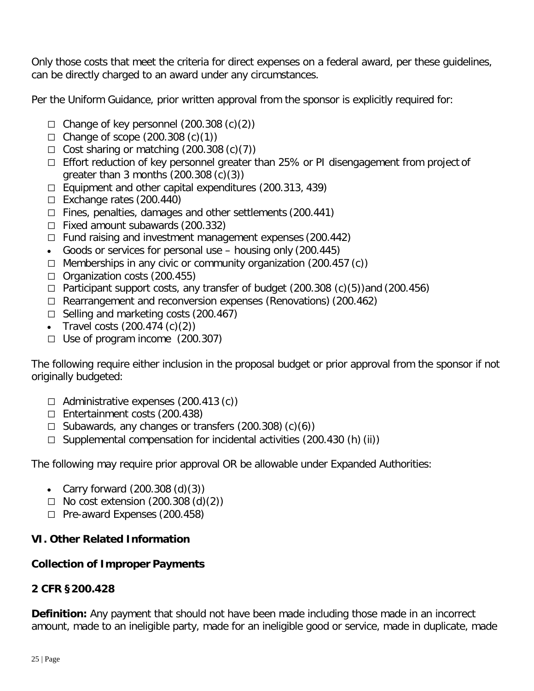Only those costs that meet the criteria for direct expenses on a federal award, per these guidelines, can be directly charged to an award under any circumstances.

Per the Uniform Guidance, prior written approval from the sponsor is explicitly required for:

- $\Box$  Change of key personnel (200.308 (c)(2))
- $\Box$  Change of scope (200.308 (c)(1))
- $\Box$  Cost sharing or matching (200.308 (c)(7))
- $\Box$  Effort reduction of key personnel greater than 25% or PI disengagement from project of greater than 3 months (200.308 (c)(3))
- $\Box$  Equipment and other capital expenditures (200.313, 439)
- $\Box$  Exchange rates (200.440)
- $\Box$  Fines, penalties, damages and other settlements (200.441)
- $\Box$  Fixed amount subawards (200.332)
- $\Box$  Fund raising and investment management expenses (200.442)
- Goods or services for personal use housing only (200.445)
- $\Box$  Memberships in any civic or community organization (200.457 (c))
- $\Box$  Organization costs (200.455)
- $\Box$  Participant support costs, any transfer of budget (200.308 (c)(5))and (200.456)
- $\Box$  Rearrangement and reconversion expenses (Renovations) (200.462)
- $\Box$  Selling and marketing costs (200.467)
- Travel costs  $(200.474 \, (c)(2))$
- $\Box$  Use of program income (200.307)

The following require either inclusion in the proposal budget or prior approval from the sponsor if not originally budgeted:

- $\Box$  Administrative expenses (200.413 (c))
- $\Box$  Entertainment costs (200.438)
- $\Box$  Subawards, any changes or transfers (200.308) (c)(6))
- $\Box$  Supplemental compensation for incidental activities (200.430 (h) (ii))

The following may require prior approval OR be allowable under Expanded Authorities:

- Carry forward  $(200.308(d)(3))$
- $\Box$  No cost extension (200.308 (d)(2))
- $\Box$  Pre-award Expenses (200.458)

#### **VI. Other Related Information**

#### **Collection of Improper Payments**

#### **2 CFR §200.428**

**Definition:** Any payment that should not have been made including those made in an incorrect amount, made to an ineligible party, made for an ineligible good or service, made in duplicate, made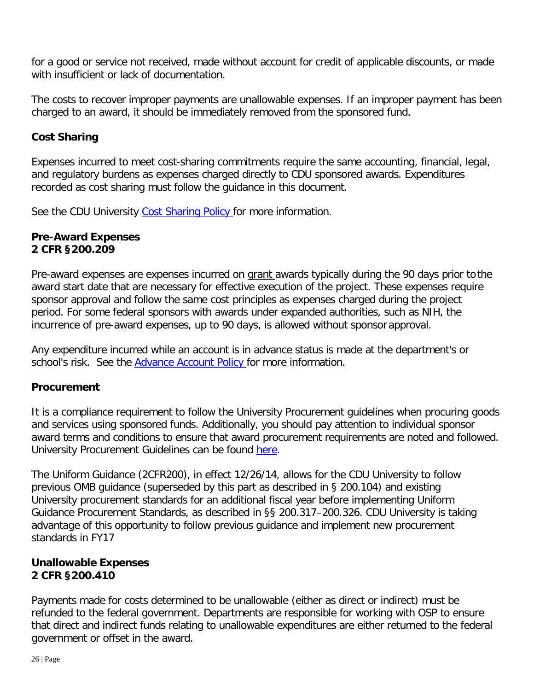for a good or service not received, made without account for credit of applicable discounts, or made with insufficient or lack of documentation.

The costs to recover improper payments are unallowable expenses. If an improper payment has been charged to an award, it should be immediately removed from the sponsored fund.

## **Cost Sharing**

Expenses incurred to meet cost-sharing commitments require the same accounting, financial, legal, and regulatory burdens as expenses charged directly to CDU sponsored awards. Expenditures recorded as cost sharing must follow the guidance in this document.

See the CDU University Cost Sharing Policy for more information.

### **Pre-Award Expenses 2 CFR §200.209**

Pre-award expenses are expenses incurred on grant awards typically during the 90 days prior to the award start date that are necessary for effective execution of the project. These expenses require sponsor approval and follow the same cost principles as expenses charged during the project period. For some federal sponsors with awards under expanded authorities, such as NIH, the incurrence of pre-award expenses, up to 90 days, is allowed without sponsor approval.

Any expenditure incurred while an account is in advance status is made at the department's or school's risk. See the Advance Account Policy for more information.

## **Procurement**

It is a compliance requirement to follow the University Procurement guidelines when procuring goods and services using sponsored funds. Additionally, you should pay attention to individual sponsor award terms and conditions to ensure that award procurement requirements are noted and followed. University Procurement Guidelines can be found here.

The Uniform Guidance (2CFR200), in effect 12/26/14, allows for the CDU University to follow previous OMB guidance (superseded by this part as described in § 200.104) and existing University procurement standards for an additional fiscal year before implementing Uniform Guidance Procurement Standards, as described in §§ 200.317–200.326. CDU University is taking advantage of this opportunity to follow previous guidance and implement new procurement standards in FY17

### **Unallowable Expenses 2 CFR §200.410**

Payments made for costs determined to be unallowable (either as direct or indirect) must be refunded to the federal government. Departments are responsible for working with OSP to ensure that direct and indirect funds relating to unallowable expenditures are either returned to the federal government or offset in the award.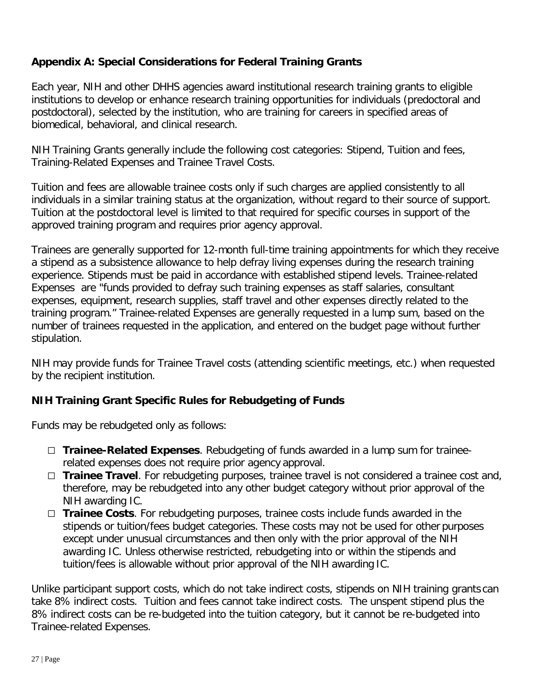## **Appendix A: Special Considerations for Federal Training Grants**

Each year, NIH and other DHHS agencies award institutional research training grants to eligible institutions to develop or enhance research training opportunities for individuals (predoctoral and postdoctoral), selected by the institution, who are training for careers in specified areas of biomedical, behavioral, and clinical research.

NIH Training Grants generally include the following cost categories: Stipend, Tuition and fees, Training-Related Expenses and Trainee Travel Costs.

Tuition and fees are allowable trainee costs only if such charges are applied consistently to all individuals in a similar training status at the organization, without regard to their source of support. Tuition at the postdoctoral level is limited to that required for specific courses in support of the approved training program and requires prior agency approval.

Trainees are generally supported for 12-month full-time training appointments for which they receive a stipend as a subsistence allowance to help defray living expenses during the research training experience. Stipends must be paid in accordance with established stipend levels. Trainee-related Expenses are "funds provided to defray such training expenses as staff salaries, consultant expenses, equipment, research supplies, staff travel and other expenses directly related to the training program." Trainee-related Expenses are generally requested in a lump sum, based on the number of trainees requested in the application, and entered on the budget page without further stipulation.

NIH may provide funds for Trainee Travel costs (attending scientific meetings, etc.) when requested by the recipient institution.

## **NIH Training Grant Specific Rules for Rebudgeting of Funds**

Funds may be rebudgeted only as follows:

- **Trainee-Related Expenses**. Rebudgeting of funds awarded in a lump sum for traineerelated expenses does not require prior agency approval.
- □ **Trainee Travel**. For rebudgeting purposes, trainee travel is not considered a trainee cost and, therefore, may be rebudgeted into any other budget category without prior approval of the NIH awarding IC.
- □ Trainee Costs. For rebudgeting purposes, trainee costs include funds awarded in the stipends or tuition/fees budget categories. These costs may not be used for other purposes except under unusual circumstances and then only with the prior approval of the NIH awarding IC. Unless otherwise restricted, rebudgeting into or within the stipends and tuition/fees is allowable without prior approval of the NIH awarding IC.

Unlike participant support costs, which do not take indirect costs, stipends on NIH training grants can take 8% indirect costs. Tuition and fees cannot take indirect costs. The unspent stipend plus the 8% indirect costs can be re-budgeted into the tuition category, but it cannot be re-budgeted into Trainee-related Expenses.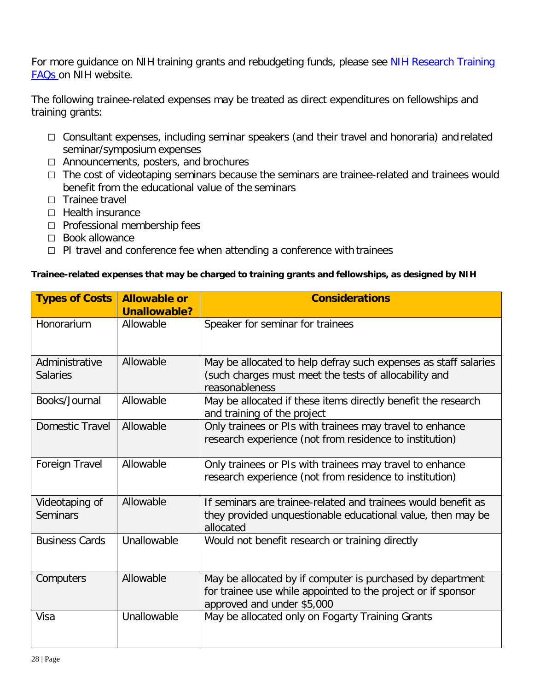For more guidance on NIH training grants and rebudgeting funds, please see [NIH Research Training](https://researchtraining.nih.gov/resources/faq#Post-Award) [FAQs o](https://researchtraining.nih.gov/resources/faq#Post-Award)n NIH website.

The following trainee-related expenses may be treated as direct expenditures on fellowships and training grants:

- $\Box$  Consultant expenses, including seminar speakers (and their travel and honoraria) and related seminar/symposium expenses
- $\Box$  Announcements, posters, and brochures
- The cost of videotaping seminars because the seminars are trainee-related and trainees would benefit from the educational value of the seminars
- $\Box$  Trainee travel
- $\Box$  Health insurance
- $\Box$  Professional membership fees
- $\Box$  Book allowance
- $\Box$  PI travel and conference fee when attending a conference with trainees

#### **Trainee-related expenses that may be charged to training grants and fellowships, as designed by NIH**

| <b>Types of Costs</b>             | <b>Allowable or</b><br><b>Unallowable?</b> | <b>Considerations</b>                                                                                                                                    |
|-----------------------------------|--------------------------------------------|----------------------------------------------------------------------------------------------------------------------------------------------------------|
| Honorarium                        | Allowable                                  | Speaker for seminar for trainees                                                                                                                         |
| Administrative<br><b>Salaries</b> | Allowable                                  | May be allocated to help defray such expenses as staff salaries<br>(such charges must meet the tests of allocability and<br>reasonableness               |
| Books/Journal                     | Allowable                                  | May be allocated if these items directly benefit the research<br>and training of the project                                                             |
| Domestic Travel                   | Allowable                                  | Only trainees or PIs with trainees may travel to enhance<br>research experience (not from residence to institution)                                      |
| Foreign Travel                    | Allowable                                  | Only trainees or PIs with trainees may travel to enhance<br>research experience (not from residence to institution)                                      |
| Videotaping of<br><b>Seminars</b> | Allowable                                  | If seminars are trainee-related and trainees would benefit as<br>they provided unquestionable educational value, then may be<br>allocated                |
| <b>Business Cards</b>             | Unallowable                                | Would not benefit research or training directly                                                                                                          |
| Computers                         | Allowable                                  | May be allocated by if computer is purchased by department<br>for trainee use while appointed to the project or if sponsor<br>approved and under \$5,000 |
| Visa                              | Unallowable                                | May be allocated only on Fogarty Training Grants                                                                                                         |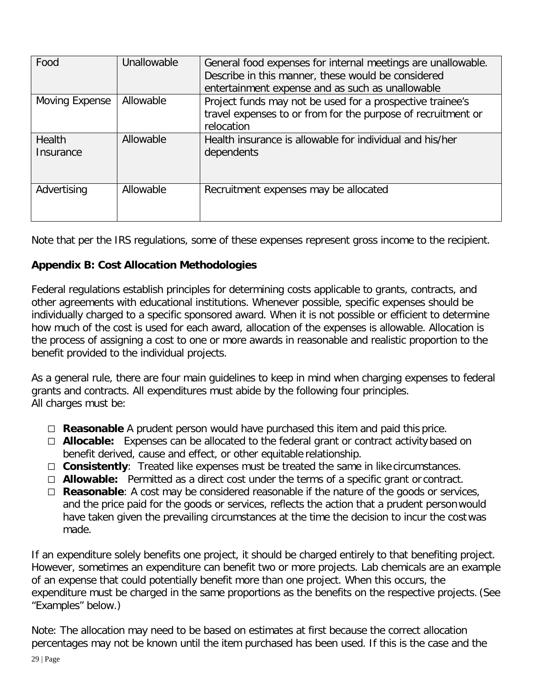| Food                | Unallowable | General food expenses for internal meetings are unallowable.<br>Describe in this manner, these would be considered<br>entertainment expense and as such as unallowable |
|---------------------|-------------|------------------------------------------------------------------------------------------------------------------------------------------------------------------------|
| Moving Expense      | Allowable   | Project funds may not be used for a prospective trainee's<br>travel expenses to or from for the purpose of recruitment or<br>relocation                                |
| Health<br>Insurance | Allowable   | Health insurance is allowable for individual and his/her<br>dependents                                                                                                 |
| Advertising         | Allowable   | Recruitment expenses may be allocated                                                                                                                                  |

Note that per the IRS regulations, some of these expenses represent gross income to the recipient.

## **Appendix B: Cost Allocation Methodologies**

Federal regulations establish principles for determining costs applicable to grants, contracts, and other agreements with educational institutions. Whenever possible, specific expenses should be individually charged to a specific sponsored award. When it is not possible or efficient to determine how much of the cost is used for each award, allocation of the expenses is allowable. Allocation is the process of assigning a cost to one or more awards in reasonable and realistic proportion to the benefit provided to the individual projects.

As a general rule, there are four main guidelines to keep in mind when charging expenses to federal grants and contracts. All expenditures must abide by the following four principles. All charges must be:

- **Reasonable** A prudent person would have purchased this item and paid this price.
- **Allocable:** Expenses can be allocated to the federal grant or contract activity based on benefit derived, cause and effect, or other equitable relationship.
- **Consistently**: Treated like expenses must be treated the same in like circumstances.
- **Allowable:** Permitted as a direct cost under the terms of a specific grant or contract.
- □ **Reasonable**: A cost may be considered reasonable if the nature of the goods or services, and the price paid for the goods or services, reflects the action that a prudent personwould have taken given the prevailing circumstances at the time the decision to incur the cost was made.

If an expenditure solely benefits one project, it should be charged entirely to that benefiting project. However, sometimes an expenditure can benefit two or more projects. Lab chemicals are an example of an expense that could potentially benefit more than one project. When this occurs, the expenditure must be charged in the same proportions as the benefits on the respective projects.(See "Examples" below.)

Note: The allocation may need to be based on estimates at first because the correct allocation percentages may not be known until the item purchased has been used. If this is the case and the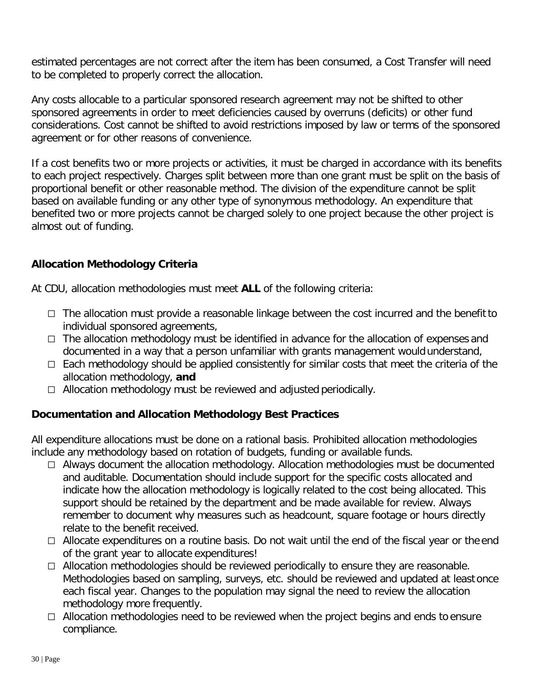estimated percentages are not correct after the item has been consumed, a Cost Transfer will need to be completed to properly correct the allocation.

Any costs allocable to a particular sponsored research agreement may not be shifted to other sponsored agreements in order to meet deficiencies caused by overruns (deficits) or other fund considerations. Cost cannot be shifted to avoid restrictions imposed by law or terms of the sponsored agreement or for other reasons of convenience.

If a cost benefits two or more projects or activities, it must be charged in accordance with its benefits to each project respectively. Charges split between more than one grant must be split on the basis of proportional benefit or other reasonable method. The division of the expenditure cannot be split based on available funding or any other type of synonymous methodology. An expenditure that benefited two or more projects cannot be charged solely to one project because the other project is almost out of funding.

### **Allocation Methodology Criteria**

At CDU, allocation methodologies must meet **ALL** of the following criteria:

- $\Box$  The allocation must provide a reasonable linkage between the cost incurred and the benefit to individual sponsored agreements,
- $\Box$  The allocation methodology must be identified in advance for the allocation of expenses and documented in a way that a person unfamiliar with grants management would understand,
- $\Box$  Each methodology should be applied consistently for similar costs that meet the criteria of the allocation methodology, **and**
- $\Box$  Allocation methodology must be reviewed and adjusted periodically.

## **Documentation and Allocation Methodology Best Practices**

All expenditure allocations must be done on a rational basis. Prohibited allocation methodologies include any methodology based on rotation of budgets, funding or available funds.

- $\Box$  Always document the allocation methodology. Allocation methodologies must be documented and auditable. Documentation should include support for the specific costs allocated and indicate how the allocation methodology is logically related to the cost being allocated. This support should be retained by the department and be made available for review. Always remember to document why measures such as headcount, square footage or hours directly relate to the benefit received.
- □ Allocate expenditures on a routine basis. Do not wait until the end of the fiscal year or the end of the grant year to allocate expenditures!
- $\Box$  Allocation methodologies should be reviewed periodically to ensure they are reasonable. Methodologies based on sampling, surveys, etc. should be reviewed and updated at least once each fiscal year. Changes to the population may signal the need to review the allocation methodology more frequently.
- $\Box$  Allocation methodologies need to be reviewed when the project begins and ends to ensure compliance.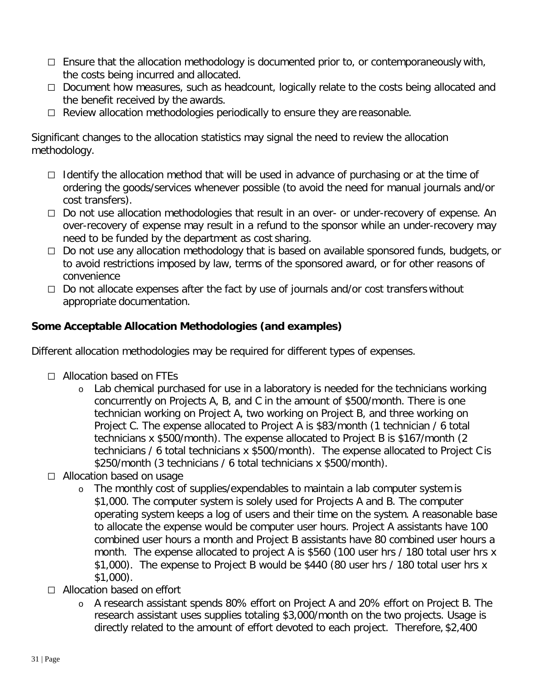- $\Box$  Ensure that the allocation methodology is documented prior to, or contemporaneously with, the costs being incurred and allocated.
- $\Box$  Document how measures, such as headcount, logically relate to the costs being allocated and the benefit received by the awards.
- $\Box$  Review allocation methodologies periodically to ensure they are reasonable.

Significant changes to the allocation statistics may signal the need to review the allocation methodology.

- $\Box$  Identify the allocation method that will be used in advance of purchasing or at the time of ordering the goods/services whenever possible (to avoid the need for manual journals and/or cost transfers).
- $\Box$  Do not use allocation methodologies that result in an over- or under-recovery of expense. An over-recovery of expense may result in a refund to the sponsor while an under-recovery may need to be funded by the department as cost sharing.
- $\Box$  Do not use any allocation methodology that is based on available sponsored funds, budgets, or to avoid restrictions imposed by law, terms of the sponsored award, or for other reasons of convenience
- $\Box$  Do not allocate expenses after the fact by use of journals and/or cost transfers without appropriate documentation.

## **Some Acceptable Allocation Methodologies (and examples)**

Different allocation methodologies may be required for different types of expenses.

- $\Box$  Allocation based on FTFs
	- o Lab chemical purchased for use in a laboratory is needed for the technicians working concurrently on Projects A, B, and C in the amount of \$500/month. There is one technician working on Project A, two working on Project B, and three working on Project C. The expense allocated to Project A is \$83/month (1 technician / 6 total technicians x \$500/month). The expense allocated to Project B is \$167/month (2 technicians / 6 total technicians x \$500/month). The expense allocated to Project C is \$250/month (3 technicians / 6 total technicians x \$500/month).
- □ Allocation based on usage
	- o The monthly cost of supplies/expendables to maintain a lab computer system is \$1,000. The computer system is solely used for Projects A and B. The computer operating system keeps a log of users and their time on the system. A reasonable base to allocate the expense would be computer user hours. Project A assistants have 100 combined user hours a month and Project B assistants have 80 combined user hours a month. The expense allocated to project A is \$560 (100 user hrs / 180 total user hrs x \$1,000). The expense to Project B would be \$440 (80 user hrs / 180 total user hrs x \$1,000).
- □ Allocation based on effort
	- o A research assistant spends 80% effort on Project A and 20% effort on Project B. The research assistant uses supplies totaling \$3,000/month on the two projects. Usage is directly related to the amount of effort devoted to each project. Therefore, \$2,400